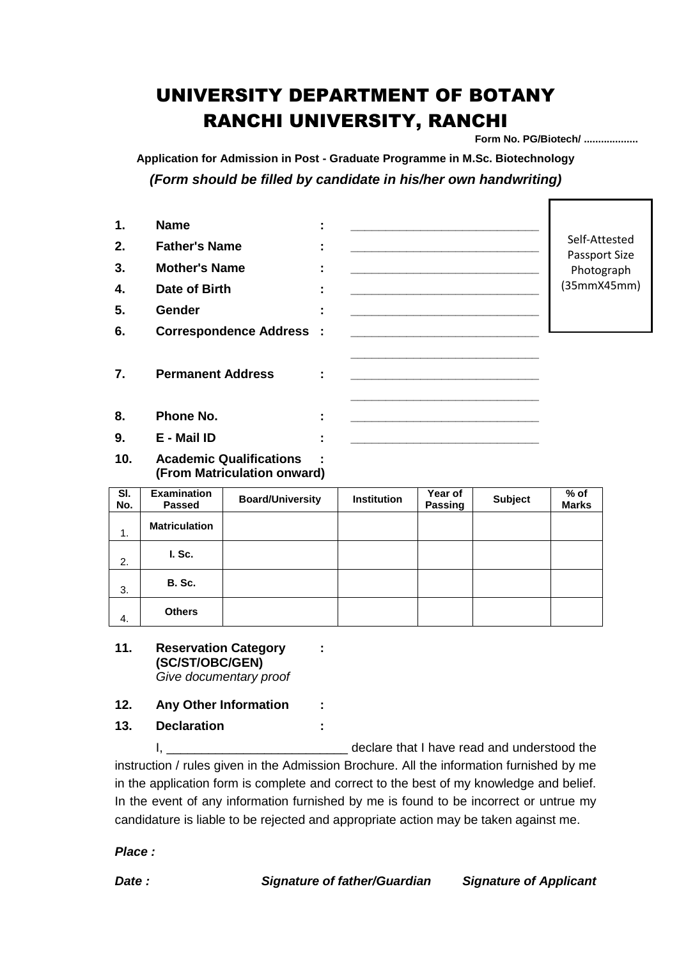## UNIVERSITY DEPARTMENT OF BOTANY RANCHI UNIVERSITY, RANCHI

**Form No. PG/Biotech/ ...................**

Г

**Application for Admission in Post - Graduate Programme in M.Sc. Biotechnology** *(Form should be filled by candidate in his/her own handwriting)*

| $\mathbf{1}$ . | <b>Name</b>                                                   |                         | ٠<br>$\blacksquare$ |                    |                                                                                                                        |                |                                |  |
|----------------|---------------------------------------------------------------|-------------------------|---------------------|--------------------|------------------------------------------------------------------------------------------------------------------------|----------------|--------------------------------|--|
| 2.             | <b>Father's Name</b>                                          |                         | ÷                   |                    |                                                                                                                        |                | Self-Attested<br>Passport Size |  |
| 3.             | <b>Mother's Name</b>                                          |                         | ÷                   |                    |                                                                                                                        |                | Photograph                     |  |
| 4.             | Date of Birth                                                 |                         | ÷                   |                    |                                                                                                                        |                | (35mmX45mm)                    |  |
| 5.             | <b>Gender</b>                                                 |                         | ÷                   |                    |                                                                                                                        |                |                                |  |
| 6.             | <b>Correspondence Address :</b>                               |                         |                     |                    |                                                                                                                        |                |                                |  |
| 7.             | <b>Permanent Address</b>                                      |                         |                     |                    |                                                                                                                        |                |                                |  |
| 8.             | Phone No.                                                     |                         | ÷                   |                    | <u> 1989 - Johann John Stone, market fan it ferskearre fan it ferskearre fan it ferskearre fan it ferskearre fan i</u> |                |                                |  |
| 9.             | E - Mail ID                                                   |                         | ÷                   |                    |                                                                                                                        |                |                                |  |
| 10.            | <b>Academic Qualifications</b><br>(From Matriculation onward) |                         |                     |                    |                                                                                                                        |                |                                |  |
| SI.<br>No.     | <b>Examination</b><br><b>Passed</b>                           | <b>Board/University</b> |                     | <b>Institution</b> | Year of<br>Passing                                                                                                     | <b>Subject</b> | $%$ of<br><b>Marks</b>         |  |
| 1.             | <b>Matriculation</b>                                          |                         |                     |                    |                                                                                                                        |                |                                |  |
| 2.             | I. Sc.                                                        |                         |                     |                    |                                                                                                                        |                |                                |  |

## **11. Reservation Category : (SC/ST/OBC/GEN)** *Give documentary proof*

3. **B. Sc.**

4. **Others**

- **12. Any Other Information :**
- **13. Declaration :**

I, \_\_\_\_\_\_\_\_\_\_\_\_\_\_\_\_\_\_\_\_\_\_\_\_\_\_ declare that I have read and understood the instruction / rules given in the Admission Brochure. All the information furnished by me in the application form is complete and correct to the best of my knowledge and belief. In the event of any information furnished by me is found to be incorrect or untrue my candidature is liable to be rejected and appropriate action may be taken against me.

*Place :*